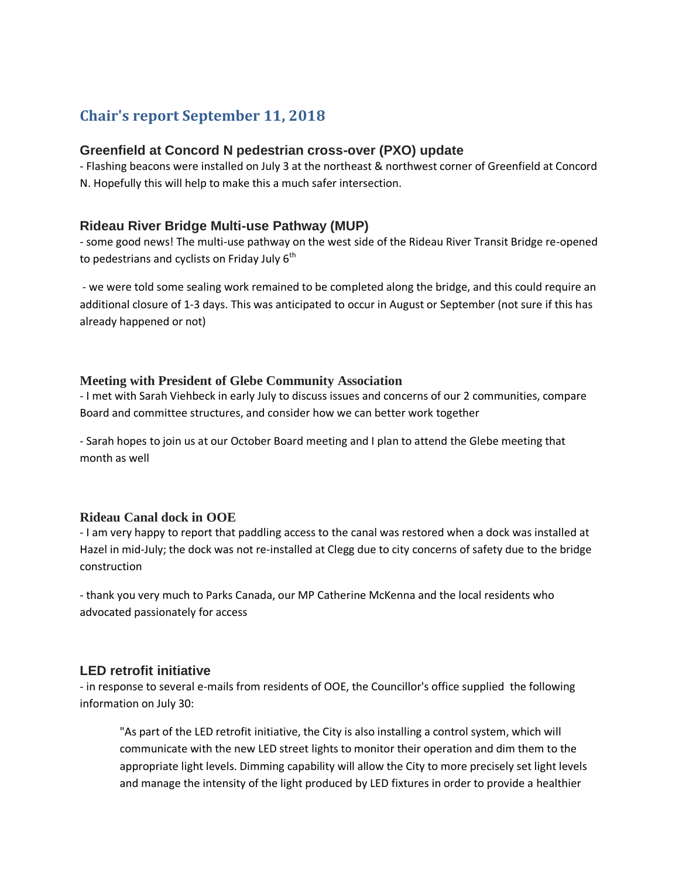# **Chair's report September 11, 2018**

#### **Greenfield at Concord N pedestrian cross-over (PXO) update**

- Flashing beacons were installed on July 3 at the northeast & northwest corner of Greenfield at Concord N. Hopefully this will help to make this a much safer intersection.

### **Rideau River Bridge Multi-use Pathway (MUP)**

- some good news! The multi-use pathway on the west side of the Rideau River Transit Bridge re-opened to pedestrians and cyclists on Friday July  $6<sup>th</sup>$ 

- we were told some sealing work remained to be completed along the bridge, and this could require an additional closure of 1-3 days. This was anticipated to occur in August or September (not sure if this has already happened or not)

#### **Meeting with President of Glebe Community Association**

- I met with Sarah Viehbeck in early July to discuss issues and concerns of our 2 communities, compare Board and committee structures, and consider how we can better work together

- Sarah hopes to join us at our October Board meeting and I plan to attend the Glebe meeting that month as well

#### **Rideau Canal dock in OOE**

- I am very happy to report that paddling access to the canal was restored when a dock was installed at Hazel in mid-July; the dock was not re-installed at Clegg due to city concerns of safety due to the bridge construction

- thank you very much to Parks Canada, our MP Catherine McKenna and the local residents who advocated passionately for access

#### **LED retrofit initiative**

- in response to several e-mails from residents of OOE, the Councillor's office supplied the following information on July 30:

"As part of the LED retrofit initiative, the City is also installing a control system, which will communicate with the new LED street lights to monitor their operation and dim them to the appropriate light levels. Dimming capability will allow the City to more precisely set light levels and manage the intensity of the light produced by LED fixtures in order to provide a healthier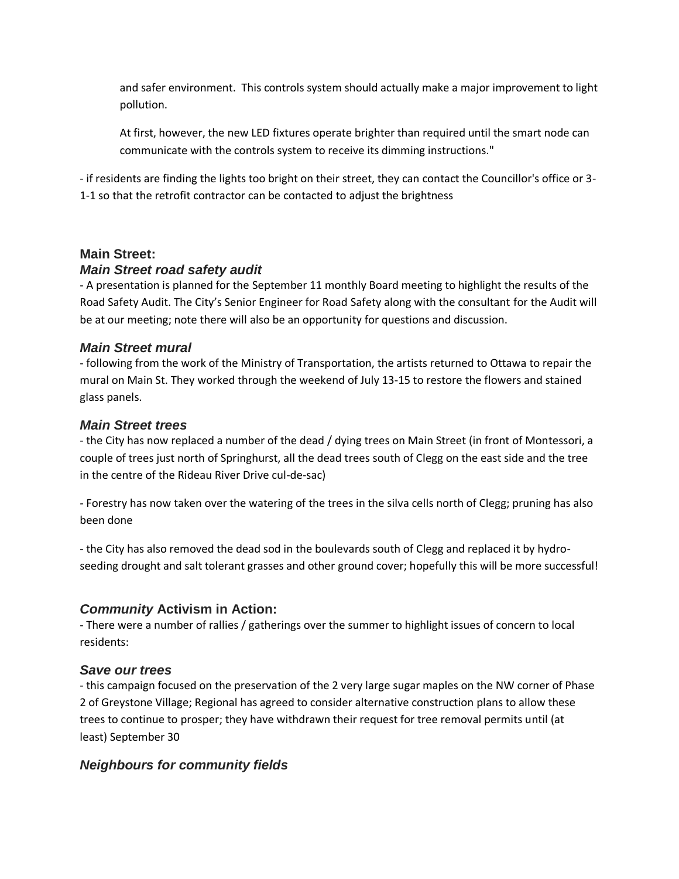and safer environment. This controls system should actually make a major improvement to light pollution.

At first, however, the new LED fixtures operate brighter than required until the smart node can communicate with the controls system to receive its dimming instructions."

- if residents are finding the lights too bright on their street, they can contact the Councillor's office or 3- 1-1 so that the retrofit contractor can be contacted to adjust the brightness

# **Main Street:** *Main Street road safety audit*

- A presentation is planned for the September 11 monthly Board meeting to highlight the results of the Road Safety Audit. The City's Senior Engineer for Road Safety along with the consultant for the Audit will be at our meeting; note there will also be an opportunity for questions and discussion.

## *Main Street mural*

- following from the work of the Ministry of Transportation, the artists returned to Ottawa to repair the mural on Main St. They worked through the weekend of July 13-15 to restore the flowers and stained glass panels.

## *Main Street trees*

- the City has now replaced a number of the dead / dying trees on Main Street (in front of Montessori, a couple of trees just north of Springhurst, all the dead trees south of Clegg on the east side and the tree in the centre of the Rideau River Drive cul-de-sac)

*-* Forestry has now taken over the watering of the trees in the silva cells north of Clegg; pruning has also been done

- the City has also removed the dead sod in the boulevards south of Clegg and replaced it by hydroseeding drought and salt tolerant grasses and other ground cover; hopefully this will be more successful!

# *Community* **Activism in Action:**

- There were a number of rallies / gatherings over the summer to highlight issues of concern to local residents:

# *Save our trees*

- this campaign focused on the preservation of the 2 very large sugar maples on the NW corner of Phase 2 of Greystone Village; Regional has agreed to consider alternative construction plans to allow these trees to continue to prosper; they have withdrawn their request for tree removal permits until (at least) September 30

# *Neighbours for community fields*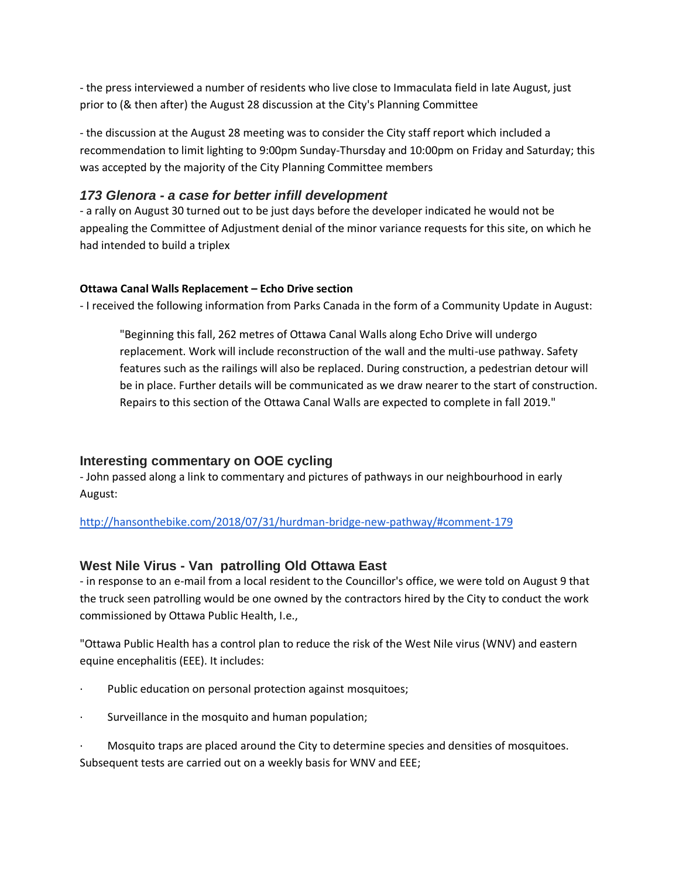- the press interviewed a number of residents who live close to Immaculata field in late August, just prior to (& then after) the August 28 discussion at the City's Planning Committee

- the discussion at the August 28 meeting was to consider the City staff report which included a recommendation to limit lighting to 9:00pm Sunday-Thursday and 10:00pm on Friday and Saturday; this was accepted by the majority of the City Planning Committee members

## *173 Glenora - a case for better infill development*

- a rally on August 30 turned out to be just days before the developer indicated he would not be appealing the Committee of Adjustment denial of the minor variance requests for this site, on which he had intended to build a triplex

### **Ottawa Canal Walls Replacement – Echo Drive section**

- I received the following information from Parks Canada in the form of a Community Update in August:

"Beginning this fall, 262 metres of Ottawa Canal Walls along Echo Drive will undergo replacement. Work will include reconstruction of the wall and the multi-use pathway. Safety features such as the railings will also be replaced. During construction, a pedestrian detour will be in place. Further details will be communicated as we draw nearer to the start of construction. Repairs to this section of the Ottawa Canal Walls are expected to complete in fall 2019."

# **Interesting commentary on OOE cycling**

- John passed along a link to commentary and pictures of pathways in our neighbourhood in early August:

[http://hansonthebike.com/2018/07/31/hurdman-bridge-new-pathway/#comment-179](http://hansonthebike.com/2018/07/31/hurdman-bridge-new-pathway/#comment-1795)

## **West Nile Virus - Van patrolling Old Ottawa East**

- in response to an e-mail from a local resident to the Councillor's office, we were told on August 9 that the truck seen patrolling would be one owned by the contractors hired by the City to conduct the work commissioned by Ottawa Public Health, I.e.,

"Ottawa Public Health has a control plan to reduce the risk of the West Nile virus (WNV) and eastern equine encephalitis (EEE). It includes:

- Public education on personal protection against mosquitoes;
- Surveillance in the mosquito and human population;

· Mosquito traps are placed around the City to determine species and densities of mosquitoes. Subsequent tests are carried out on a weekly basis for WNV and EEE;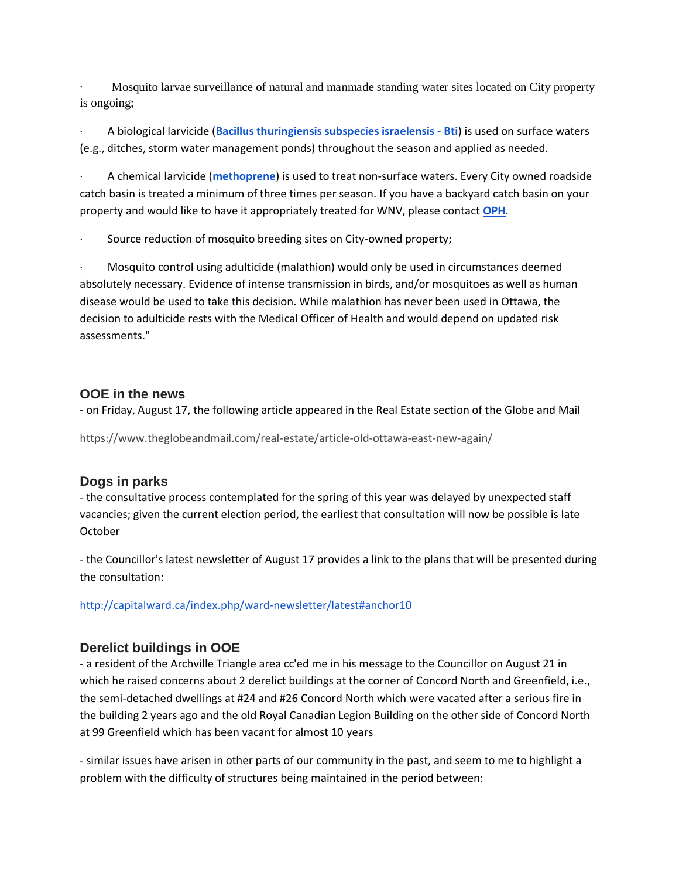· Mosquito larvae surveillance of natural and manmade standing water sites located on City property is ongoing;

· A biological larvicide (**[Bacillus thuringiensis subspecies israelensis -](http://www.hc-sc.gc.ca/cps-spc/pubs/pest/_fact-fiche/bti/index-eng.php) Bti**) is used on surface waters (e.g., ditches, storm water management ponds) throughout the season and applied as needed.

· A chemical larvicide (**[methoprene](http://www.hc-sc.gc.ca/cps-spc/pubs/pest/_fact-fiche/methoprene/index-eng.php)**) is used to treat non-surface waters. Every City owned roadside catch basin is treated a minimum of three times per season. If you have a backyard catch basin on your property and would like to have it appropriately treated for WNV, please contact **[OPH](http://www.ottawapublichealth.ca/en/public-health-services/contact-us.aspx)**.

Source reduction of mosquito breeding sites on City-owned property;

· Mosquito control using adulticide (malathion) would only be used in circumstances deemed absolutely necessary. Evidence of intense transmission in birds, and/or mosquitoes as well as human disease would be used to take this decision. While malathion has never been used in Ottawa, the decision to adulticide rests with the Medical Officer of Health and would depend on updated risk assessments."

## **OOE in the news**

- on Friday, August 17, the following article appeared in the Real Estate section of the Globe and Mail

<https://www.theglobeandmail.com/real-estate/article-old-ottawa-east-new-again/>

## **Dogs in parks**

- the consultative process contemplated for the spring of this year was delayed by unexpected staff vacancies; given the current election period, the earliest that consultation will now be possible is late **October** 

- the Councillor's latest newsletter of August 17 provides a link to the plans that will be presented during the consultation:

<http://capitalward.ca/index.php/ward-newsletter/latest#anchor10>

# **Derelict buildings in OOE**

- a resident of the Archville Triangle area cc'ed me in his message to the Councillor on August 21 in which he raised concerns about 2 derelict buildings at the corner of Concord North and Greenfield, i.e., the semi-detached dwellings at #24 and #26 Concord North which were vacated after a serious fire in the building 2 years ago and the old Royal Canadian Legion Building on the other side of Concord North at 99 Greenfield which has been vacant for almost 10 years

- similar issues have arisen in other parts of our community in the past, and seem to me to highlight a problem with the difficulty of structures being maintained in the period between: